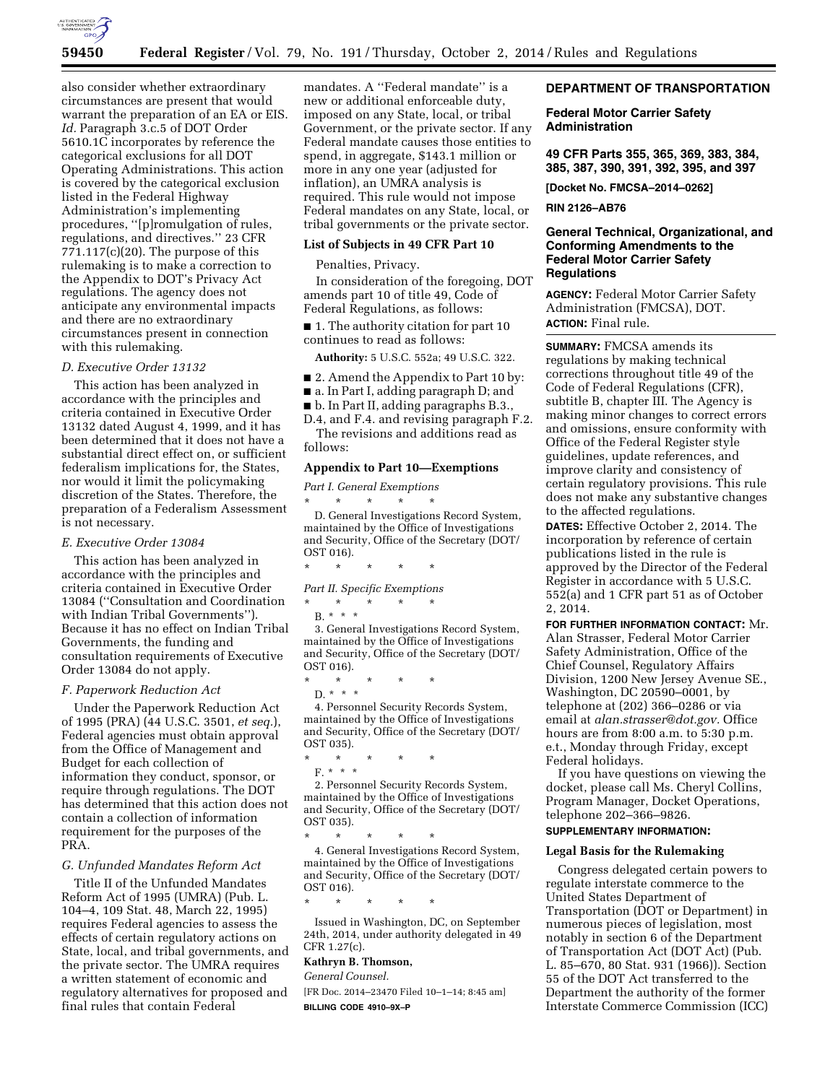

also consider whether extraordinary circumstances are present that would warrant the preparation of an EA or EIS. *Id.* Paragraph 3.c.5 of DOT Order 5610.1C incorporates by reference the categorical exclusions for all DOT Operating Administrations. This action is covered by the categorical exclusion listed in the Federal Highway Administration's implementing procedures, ''[p]romulgation of rules, regulations, and directives.'' 23 CFR 771.117(c)(20). The purpose of this rulemaking is to make a correction to the Appendix to DOT's Privacy Act regulations. The agency does not anticipate any environmental impacts and there are no extraordinary circumstances present in connection with this rulemaking.

## *D. Executive Order 13132*

This action has been analyzed in accordance with the principles and criteria contained in Executive Order 13132 dated August 4, 1999, and it has been determined that it does not have a substantial direct effect on, or sufficient federalism implications for, the States, nor would it limit the policymaking discretion of the States. Therefore, the preparation of a Federalism Assessment is not necessary.

# *E. Executive Order 13084*

This action has been analyzed in accordance with the principles and criteria contained in Executive Order 13084 (''Consultation and Coordination with Indian Tribal Governments''). Because it has no effect on Indian Tribal Governments, the funding and consultation requirements of Executive Order 13084 do not apply.

### *F. Paperwork Reduction Act*

Under the Paperwork Reduction Act of 1995 (PRA) (44 U.S.C. 3501, *et seq.*), Federal agencies must obtain approval from the Office of Management and Budget for each collection of information they conduct, sponsor, or require through regulations. The DOT has determined that this action does not contain a collection of information requirement for the purposes of the PRA.

### *G. Unfunded Mandates Reform Act*

Title II of the Unfunded Mandates Reform Act of 1995 (UMRA) (Pub. L. 104–4, 109 Stat. 48, March 22, 1995) requires Federal agencies to assess the effects of certain regulatory actions on State, local, and tribal governments, and the private sector. The UMRA requires a written statement of economic and regulatory alternatives for proposed and final rules that contain Federal

mandates. A ''Federal mandate'' is a new or additional enforceable duty, imposed on any State, local, or tribal Government, or the private sector. If any Federal mandate causes those entities to spend, in aggregate, \$143.1 million or more in any one year (adjusted for inflation), an UMRA analysis is required. This rule would not impose Federal mandates on any State, local, or tribal governments or the private sector.

#### **List of Subjects in 49 CFR Part 10**

### Penalties, Privacy.

In consideration of the foregoing, DOT amends part 10 of title 49, Code of Federal Regulations, as follows:

■ 1. The authority citation for part 10 continues to read as follows:

**Authority:** 5 U.S.C. 552a; 49 U.S.C. 322.

- 2. Amend the Appendix to Part 10 by:
- a. In Part I, adding paragraph D; and
- b. In Part II, adding paragraphs B.3.,

D.4, and F.4. and revising paragraph F.2. The revisions and additions read as follows:

#### **Appendix to Part 10—Exemptions**

*Part I. General Exemptions*  \* \* \* \* \*

D. General Investigations Record System, maintained by the Office of Investigations and Security, Office of the Secretary (DOT/ OST 016).

\* \* \* \* \*

*Part II. Specific Exemptions* 

\* \* \* \* \* B. \* \* \*

3. General Investigations Record System, maintained by the Office of Investigations and Security, Office of the Secretary (DOT/ OST 016).

\* \* \* \* \*

D. \* \* \* 4. Personnel Security Records System, maintained by the Office of Investigations and Security, Office of the Secretary (DOT/ OST 035).

- \* \* \* \* \*
- F. \* \* \*

2. Personnel Security Records System, maintained by the Office of Investigations and Security, Office of the Secretary (DOT/ OST 035).

\* \* \* \* \*

4. General Investigations Record System, maintained by the Office of Investigations and Security, Office of the Secretary (DOT/ OST 016).

\* \* \* \* \*

Issued in Washington, DC, on September 24th, 2014, under authority delegated in 49 CFR 1.27(c).

# **Kathryn B. Thomson,**

*General Counsel.* 

[FR Doc. 2014–23470 Filed 10–1–14; 8:45 am] **BILLING CODE 4910–9X–P** 

## **DEPARTMENT OF TRANSPORTATION**

## **Federal Motor Carrier Safety Administration**

**49 CFR Parts 355, 365, 369, 383, 384, 385, 387, 390, 391, 392, 395, and 397** 

**[Docket No. FMCSA–2014–0262]** 

#### **RIN 2126–AB76**

# **General Technical, Organizational, and Conforming Amendments to the Federal Motor Carrier Safety Regulations**

**AGENCY:** Federal Motor Carrier Safety Administration (FMCSA), DOT.

**ACTION:** Final rule.

**SUMMARY:** FMCSA amends its regulations by making technical corrections throughout title 49 of the Code of Federal Regulations (CFR), subtitle B, chapter III. The Agency is making minor changes to correct errors and omissions, ensure conformity with Office of the Federal Register style guidelines, update references, and improve clarity and consistency of certain regulatory provisions. This rule does not make any substantive changes to the affected regulations.

**DATES:** Effective October 2, 2014. The incorporation by reference of certain publications listed in the rule is approved by the Director of the Federal Register in accordance with 5 U.S.C. 552(a) and 1 CFR part 51 as of October 2, 2014.

**FOR FURTHER INFORMATION CONTACT:** Mr. Alan Strasser, Federal Motor Carrier Safety Administration, Office of the Chief Counsel, Regulatory Affairs Division, 1200 New Jersey Avenue SE., Washington, DC 20590–0001, by telephone at (202) 366–0286 or via email at *[alan.strasser@dot.gov.](mailto:alan.strasser@dot.gov)* Office hours are from 8:00 a.m. to 5:30 p.m. e.t., Monday through Friday, except Federal holidays.

If you have questions on viewing the docket, please call Ms. Cheryl Collins, Program Manager, Docket Operations, telephone 202–366–9826.

# **SUPPLEMENTARY INFORMATION:**

## **Legal Basis for the Rulemaking**

Congress delegated certain powers to regulate interstate commerce to the United States Department of Transportation (DOT or Department) in numerous pieces of legislation, most notably in section 6 of the Department of Transportation Act (DOT Act) (Pub. L. 85–670, 80 Stat. 931 (1966)). Section 55 of the DOT Act transferred to the Department the authority of the former Interstate Commerce Commission (ICC)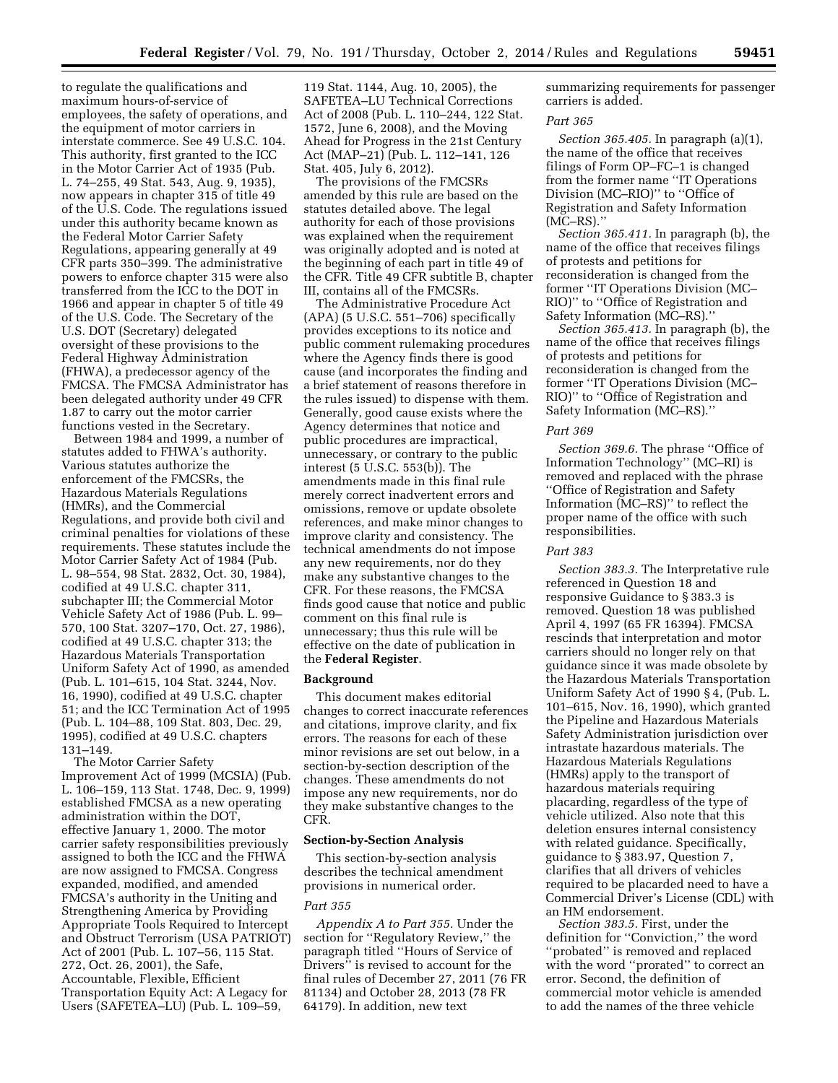to regulate the qualifications and maximum hours-of-service of employees, the safety of operations, and the equipment of motor carriers in interstate commerce. See 49 U.S.C. 104. This authority, first granted to the ICC in the Motor Carrier Act of 1935 (Pub. L. 74–255, 49 Stat. 543, Aug. 9, 1935), now appears in chapter 315 of title 49 of the U.S. Code. The regulations issued under this authority became known as the Federal Motor Carrier Safety Regulations, appearing generally at 49 CFR parts 350–399. The administrative powers to enforce chapter 315 were also transferred from the ICC to the DOT in 1966 and appear in chapter 5 of title 49 of the U.S. Code. The Secretary of the U.S. DOT (Secretary) delegated oversight of these provisions to the Federal Highway Administration (FHWA), a predecessor agency of the FMCSA. The FMCSA Administrator has been delegated authority under 49 CFR 1.87 to carry out the motor carrier functions vested in the Secretary.

Between 1984 and 1999, a number of statutes added to FHWA's authority. Various statutes authorize the enforcement of the FMCSRs, the Hazardous Materials Regulations (HMRs), and the Commercial Regulations, and provide both civil and criminal penalties for violations of these requirements. These statutes include the Motor Carrier Safety Act of 1984 (Pub. L. 98–554, 98 Stat. 2832, Oct. 30, 1984), codified at 49 U.S.C. chapter 311, subchapter III; the Commercial Motor Vehicle Safety Act of 1986 (Pub. L. 99– 570, 100 Stat. 3207–170, Oct. 27, 1986), codified at 49 U.S.C. chapter 313; the Hazardous Materials Transportation Uniform Safety Act of 1990, as amended (Pub. L. 101–615, 104 Stat. 3244, Nov. 16, 1990), codified at 49 U.S.C. chapter 51; and the ICC Termination Act of 1995 (Pub. L. 104–88, 109 Stat. 803, Dec. 29, 1995), codified at 49 U.S.C. chapters 131–149.

The Motor Carrier Safety Improvement Act of 1999 (MCSIA) (Pub. L. 106–159, 113 Stat. 1748, Dec. 9, 1999) established FMCSA as a new operating administration within the DOT, effective January 1, 2000. The motor carrier safety responsibilities previously assigned to both the ICC and the FHWA are now assigned to FMCSA. Congress expanded, modified, and amended FMCSA's authority in the Uniting and Strengthening America by Providing Appropriate Tools Required to Intercept and Obstruct Terrorism (USA PATRIOT) Act of 2001 (Pub. L. 107–56, 115 Stat. 272, Oct. 26, 2001), the Safe, Accountable, Flexible, Efficient Transportation Equity Act: A Legacy for Users (SAFETEA–LU) (Pub. L. 109–59,

119 Stat. 1144, Aug. 10, 2005), the SAFETEA–LU Technical Corrections Act of 2008 (Pub. L. 110–244, 122 Stat. 1572, June 6, 2008), and the Moving Ahead for Progress in the 21st Century Act (MAP–21) (Pub. L. 112–141, 126 Stat. 405, July 6, 2012).

The provisions of the FMCSRs amended by this rule are based on the statutes detailed above. The legal authority for each of those provisions was explained when the requirement was originally adopted and is noted at the beginning of each part in title 49 of the CFR. Title 49 CFR subtitle B, chapter III, contains all of the FMCSRs.

The Administrative Procedure Act (APA) (5 U.S.C. 551–706) specifically provides exceptions to its notice and public comment rulemaking procedures where the Agency finds there is good cause (and incorporates the finding and a brief statement of reasons therefore in the rules issued) to dispense with them. Generally, good cause exists where the Agency determines that notice and public procedures are impractical, unnecessary, or contrary to the public interest (5 U.S.C. 553(b)). The amendments made in this final rule merely correct inadvertent errors and omissions, remove or update obsolete references, and make minor changes to improve clarity and consistency. The technical amendments do not impose any new requirements, nor do they make any substantive changes to the CFR. For these reasons, the FMCSA finds good cause that notice and public comment on this final rule is unnecessary; thus this rule will be effective on the date of publication in the **Federal Register**.

#### **Background**

This document makes editorial changes to correct inaccurate references and citations, improve clarity, and fix errors. The reasons for each of these minor revisions are set out below, in a section-by-section description of the changes. These amendments do not impose any new requirements, nor do they make substantive changes to the CFR.

### **Section-by-Section Analysis**

This section-by-section analysis describes the technical amendment provisions in numerical order.

#### *Part 355*

*Appendix A to Part 355.* Under the section for ''Regulatory Review,'' the paragraph titled ''Hours of Service of Drivers<sup>"</sup> is revised to account for the final rules of December 27, 2011 (76 FR 81134) and October 28, 2013 (78 FR 64179). In addition, new text

summarizing requirements for passenger carriers is added.

## *Part 365*

*Section 365.405.* In paragraph (a)(1), the name of the office that receives filings of Form OP–FC–1 is changed from the former name ''IT Operations Division (MC–RIO)'' to ''Office of Registration and Safety Information (MC–RS).''

*Section 365.411.* In paragraph (b), the name of the office that receives filings of protests and petitions for reconsideration is changed from the former ''IT Operations Division (MC– RIO)'' to ''Office of Registration and Safety Information (MC–RS).''

*Section 365.413.* In paragraph (b), the name of the office that receives filings of protests and petitions for reconsideration is changed from the former ''IT Operations Division (MC– RIO)'' to ''Office of Registration and Safety Information (MC–RS).''

#### *Part 369*

*Section 369.6.* The phrase ''Office of Information Technology'' (MC–RI) is removed and replaced with the phrase ''Office of Registration and Safety Information (MC–RS)'' to reflect the proper name of the office with such responsibilities.

### *Part 383*

*Section 383.3.* The Interpretative rule referenced in Question 18 and responsive Guidance to § 383.3 is removed. Question 18 was published April 4, 1997 (65 FR 16394). FMCSA rescinds that interpretation and motor carriers should no longer rely on that guidance since it was made obsolete by the Hazardous Materials Transportation Uniform Safety Act of 1990 § 4, (Pub. L. 101–615, Nov. 16, 1990), which granted the Pipeline and Hazardous Materials Safety Administration jurisdiction over intrastate hazardous materials. The Hazardous Materials Regulations (HMRs) apply to the transport of hazardous materials requiring placarding, regardless of the type of vehicle utilized. Also note that this deletion ensures internal consistency with related guidance. Specifically, guidance to § 383.97, Question 7, clarifies that all drivers of vehicles required to be placarded need to have a Commercial Driver's License (CDL) with an HM endorsement.

*Section 383.5.* First, under the definition for ''Conviction,'' the word ''probated'' is removed and replaced with the word ''prorated'' to correct an error. Second, the definition of commercial motor vehicle is amended to add the names of the three vehicle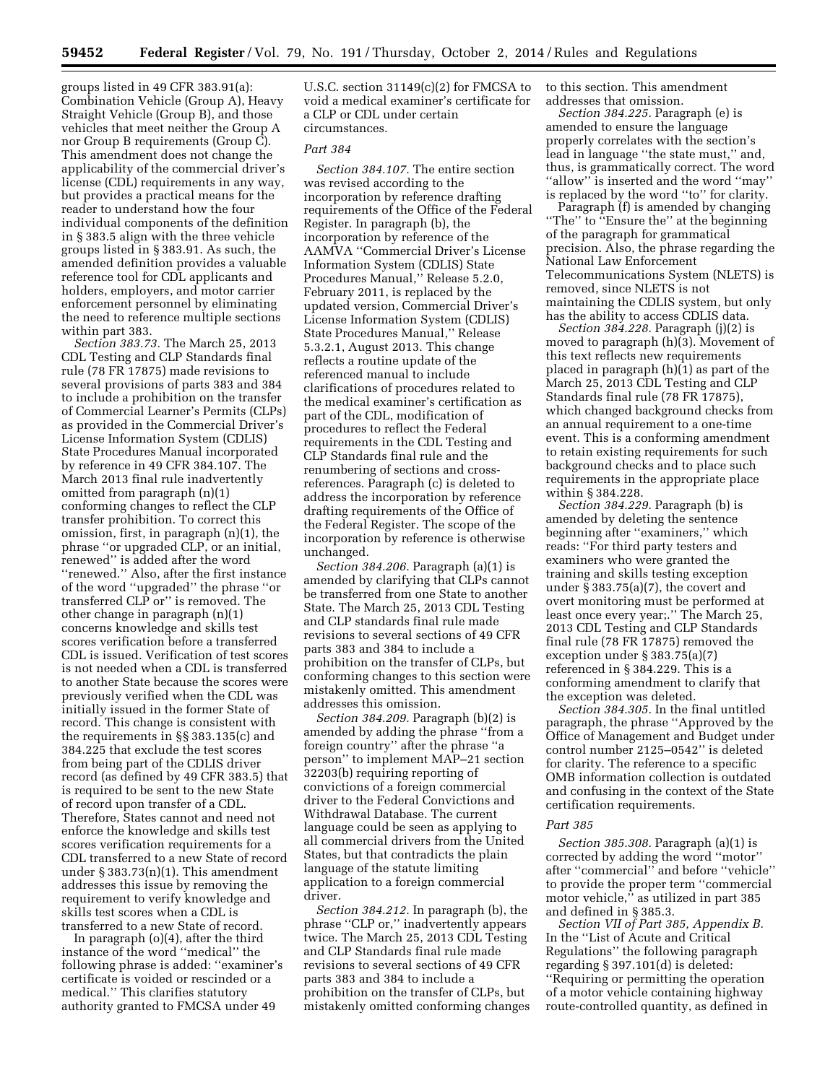groups listed in 49 CFR 383.91(a): Combination Vehicle (Group A), Heavy Straight Vehicle (Group B), and those vehicles that meet neither the Group A nor Group B requirements (Group C). This amendment does not change the applicability of the commercial driver's license (CDL) requirements in any way, but provides a practical means for the reader to understand how the four individual components of the definition in § 383.5 align with the three vehicle groups listed in § 383.91. As such, the amended definition provides a valuable reference tool for CDL applicants and holders, employers, and motor carrier enforcement personnel by eliminating the need to reference multiple sections within part 383.

*Section 383.73.* The March 25, 2013 CDL Testing and CLP Standards final rule (78 FR 17875) made revisions to several provisions of parts 383 and 384 to include a prohibition on the transfer of Commercial Learner's Permits (CLPs) as provided in the Commercial Driver's License Information System (CDLIS) State Procedures Manual incorporated by reference in 49 CFR 384.107. The March 2013 final rule inadvertently omitted from paragraph (n)(1) conforming changes to reflect the CLP transfer prohibition. To correct this omission, first, in paragraph (n)(1), the phrase ''or upgraded CLP, or an initial, renewed'' is added after the word ''renewed.'' Also, after the first instance of the word ''upgraded'' the phrase ''or transferred CLP or'' is removed. The other change in paragraph (n)(1) concerns knowledge and skills test scores verification before a transferred CDL is issued. Verification of test scores is not needed when a CDL is transferred to another State because the scores were previously verified when the CDL was initially issued in the former State of record. This change is consistent with the requirements in §§ 383.135(c) and 384.225 that exclude the test scores from being part of the CDLIS driver record (as defined by 49 CFR 383.5) that is required to be sent to the new State of record upon transfer of a CDL. Therefore, States cannot and need not enforce the knowledge and skills test scores verification requirements for a CDL transferred to a new State of record under  $\S 383.73(n)(1)$ . This amendment addresses this issue by removing the requirement to verify knowledge and skills test scores when a CDL is transferred to a new State of record.

In paragraph (o)(4), after the third instance of the word ''medical'' the following phrase is added: ''examiner's certificate is voided or rescinded or a medical.'' This clarifies statutory authority granted to FMCSA under 49

U.S.C. section 31149(c)(2) for FMCSA to void a medical examiner's certificate for a CLP or CDL under certain circumstances.

### *Part 384*

*Section 384.107.* The entire section was revised according to the incorporation by reference drafting requirements of the Office of the Federal Register. In paragraph (b), the incorporation by reference of the AAMVA ''Commercial Driver's License Information System (CDLIS) State Procedures Manual,'' Release 5.2.0, February 2011, is replaced by the updated version, Commercial Driver's License Information System (CDLIS) State Procedures Manual,'' Release 5.3.2.1, August 2013. This change reflects a routine update of the referenced manual to include clarifications of procedures related to the medical examiner's certification as part of the CDL, modification of procedures to reflect the Federal requirements in the CDL Testing and CLP Standards final rule and the renumbering of sections and crossreferences. Paragraph (c) is deleted to address the incorporation by reference drafting requirements of the Office of the Federal Register. The scope of the incorporation by reference is otherwise unchanged.

*Section 384.206.* Paragraph (a)(1) is amended by clarifying that CLPs cannot be transferred from one State to another State. The March 25, 2013 CDL Testing and CLP standards final rule made revisions to several sections of 49 CFR parts 383 and 384 to include a prohibition on the transfer of CLPs, but conforming changes to this section were mistakenly omitted. This amendment addresses this omission.

*Section 384.209.* Paragraph (b)(2) is amended by adding the phrase ''from a foreign country'' after the phrase ''a person'' to implement MAP–21 section 32203(b) requiring reporting of convictions of a foreign commercial driver to the Federal Convictions and Withdrawal Database. The current language could be seen as applying to all commercial drivers from the United States, but that contradicts the plain language of the statute limiting application to a foreign commercial driver.

*Section 384.212.* In paragraph (b), the phrase ''CLP or,'' inadvertently appears twice. The March 25, 2013 CDL Testing and CLP Standards final rule made revisions to several sections of 49 CFR parts 383 and 384 to include a prohibition on the transfer of CLPs, but mistakenly omitted conforming changes to this section. This amendment addresses that omission.

*Section 384.225.* Paragraph (e) is amended to ensure the language properly correlates with the section's lead in language ''the state must,'' and, thus, is grammatically correct. The word ''allow'' is inserted and the word ''may'' is replaced by the word ''to'' for clarity.

Paragraph (f) is amended by changing "The" to "Ensure the" at the beginning of the paragraph for grammatical precision. Also, the phrase regarding the National Law Enforcement Telecommunications System (NLETS) is removed, since NLETS is not maintaining the CDLIS system, but only has the ability to access CDLIS data.

*Section 384.228.* Paragraph (j)(2) is moved to paragraph (h)(3). Movement of this text reflects new requirements placed in paragraph (h)(1) as part of the March 25, 2013 CDL Testing and CLP Standards final rule (78 FR 17875), which changed background checks from an annual requirement to a one-time event. This is a conforming amendment to retain existing requirements for such background checks and to place such requirements in the appropriate place within § 384.228.

*Section 384.229.* Paragraph (b) is amended by deleting the sentence beginning after ''examiners,'' which reads: ''For third party testers and examiners who were granted the training and skills testing exception under § 383.75(a)(7), the covert and overt monitoring must be performed at least once every year;.'' The March 25, 2013 CDL Testing and CLP Standards final rule (78 FR 17875) removed the exception under § 383.75(a)(7) referenced in § 384.229. This is a conforming amendment to clarify that the exception was deleted.

*Section 384.305.* In the final untitled paragraph, the phrase ''Approved by the Office of Management and Budget under control number 2125–0542'' is deleted for clarity. The reference to a specific OMB information collection is outdated and confusing in the context of the State certification requirements.

#### *Part 385*

*Section 385.308.* Paragraph (a)(1) is corrected by adding the word ''motor'' after ''commercial'' and before ''vehicle'' to provide the proper term ''commercial motor vehicle,'' as utilized in part 385 and defined in § 385.3.

*Section VII of Part 385, Appendix B.*  In the ''List of Acute and Critical Regulations'' the following paragraph regarding § 397.101(d) is deleted: ''Requiring or permitting the operation of a motor vehicle containing highway route-controlled quantity, as defined in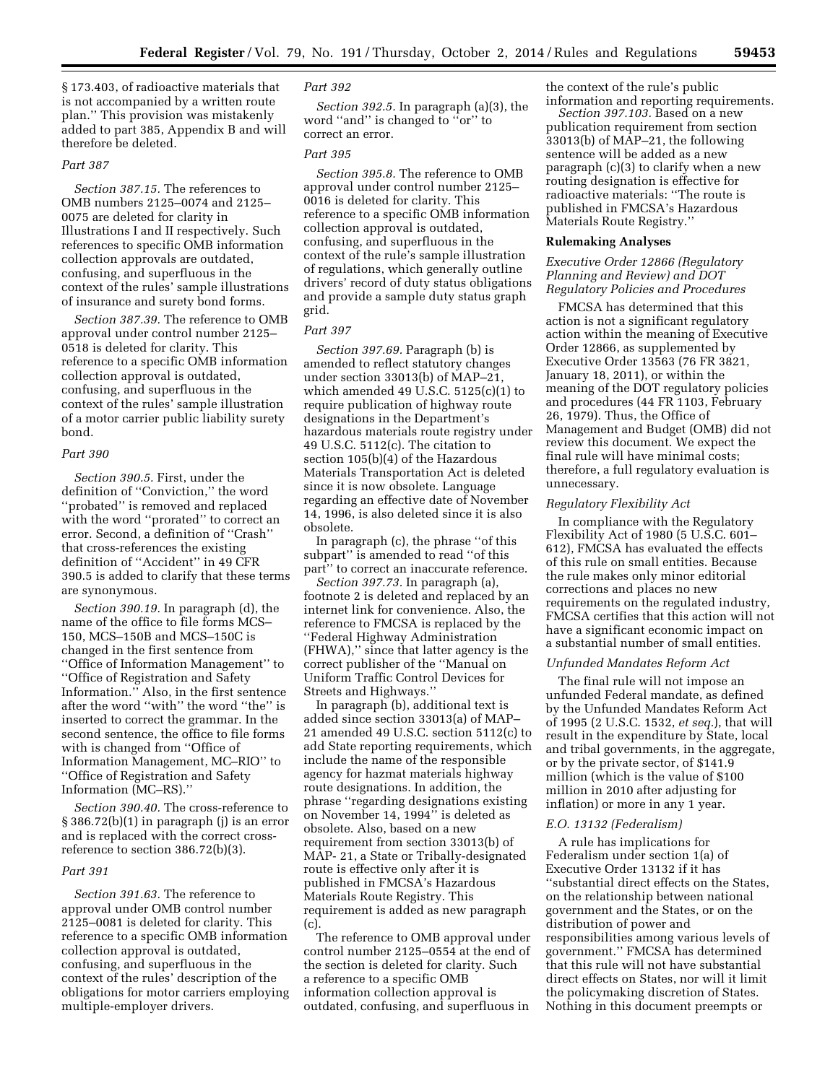§ 173.403, of radioactive materials that is not accompanied by a written route plan.'' This provision was mistakenly added to part 385, Appendix B and will therefore be deleted.

#### *Part 387*

*Section 387.15.* The references to OMB numbers 2125–0074 and 2125– 0075 are deleted for clarity in Illustrations I and II respectively. Such references to specific OMB information collection approvals are outdated, confusing, and superfluous in the context of the rules' sample illustrations of insurance and surety bond forms.

*Section 387.39.* The reference to OMB approval under control number 2125– 0518 is deleted for clarity. This reference to a specific OMB information collection approval is outdated, confusing, and superfluous in the context of the rules' sample illustration of a motor carrier public liability surety bond.

#### *Part 390*

*Section 390.5.* First, under the definition of ''Conviction,'' the word ''probated'' is removed and replaced with the word ''prorated'' to correct an error. Second, a definition of ''Crash'' that cross-references the existing definition of ''Accident'' in 49 CFR 390.5 is added to clarify that these terms are synonymous.

*Section 390.19.* In paragraph (d), the name of the office to file forms MCS– 150, MCS–150B and MCS–150C is changed in the first sentence from ''Office of Information Management'' to ''Office of Registration and Safety Information.'' Also, in the first sentence after the word ''with'' the word ''the'' is inserted to correct the grammar. In the second sentence, the office to file forms with is changed from ''Office of Information Management, MC–RIO'' to ''Office of Registration and Safety Information (MC–RS).''

*Section 390.40.* The cross-reference to § 386.72(b)(1) in paragraph (j) is an error and is replaced with the correct crossreference to section 386.72(b)(3).

### *Part 391*

*Section 391.63.* The reference to approval under OMB control number 2125–0081 is deleted for clarity. This reference to a specific OMB information collection approval is outdated, confusing, and superfluous in the context of the rules' description of the obligations for motor carriers employing multiple-employer drivers.

## *Part 392*

*Section 392.5.* In paragraph (a)(3), the word ''and'' is changed to ''or'' to correct an error.

## *Part 395*

*Section 395.8.* The reference to OMB approval under control number 2125– 0016 is deleted for clarity. This reference to a specific OMB information collection approval is outdated, confusing, and superfluous in the context of the rule's sample illustration of regulations, which generally outline drivers' record of duty status obligations and provide a sample duty status graph grid.

#### *Part 397*

*Section 397.69.* Paragraph (b) is amended to reflect statutory changes under section 33013(b) of MAP–21, which amended 49 U.S.C. 5125(c)(1) to require publication of highway route designations in the Department's hazardous materials route registry under 49 U.S.C. 5112(c). The citation to section 105(b)(4) of the Hazardous Materials Transportation Act is deleted since it is now obsolete. Language regarding an effective date of November 14, 1996, is also deleted since it is also obsolete.

In paragraph (c), the phrase ''of this subpart'' is amended to read ''of this part'' to correct an inaccurate reference.

*Section 397.73.* In paragraph (a), footnote 2 is deleted and replaced by an internet link for convenience. Also, the reference to FMCSA is replaced by the ''Federal Highway Administration (FHWA),'' since that latter agency is the correct publisher of the ''Manual on Uniform Traffic Control Devices for Streets and Highways.''

In paragraph (b), additional text is added since section 33013(a) of MAP– 21 amended 49 U.S.C. section 5112(c) to add State reporting requirements, which include the name of the responsible agency for hazmat materials highway route designations. In addition, the phrase ''regarding designations existing on November 14, 1994'' is deleted as obsolete. Also, based on a new requirement from section 33013(b) of MAP- 21, a State or Tribally-designated route is effective only after it is published in FMCSA's Hazardous Materials Route Registry. This requirement is added as new paragraph (c).

The reference to OMB approval under control number 2125–0554 at the end of the section is deleted for clarity. Such a reference to a specific OMB information collection approval is outdated, confusing, and superfluous in

the context of the rule's public information and reporting requirements.

*Section 397.103.* Based on a new publication requirement from section 33013(b) of MAP–21, the following sentence will be added as a new paragraph (c)(3) to clarify when a new routing designation is effective for radioactive materials: ''The route is published in FMCSA's Hazardous Materials Route Registry.''

## **Rulemaking Analyses**

## *Executive Order 12866 (Regulatory Planning and Review) and DOT Regulatory Policies and Procedures*

FMCSA has determined that this action is not a significant regulatory action within the meaning of Executive Order 12866, as supplemented by Executive Order 13563 (76 FR 3821, January 18, 2011), or within the meaning of the DOT regulatory policies and procedures (44 FR 1103, February 26, 1979). Thus, the Office of Management and Budget (OMB) did not review this document. We expect the final rule will have minimal costs; therefore, a full regulatory evaluation is unnecessary.

## *Regulatory Flexibility Act*

In compliance with the Regulatory Flexibility Act of 1980 (5 U.S.C. 601– 612), FMCSA has evaluated the effects of this rule on small entities. Because the rule makes only minor editorial corrections and places no new requirements on the regulated industry, FMCSA certifies that this action will not have a significant economic impact on a substantial number of small entities.

### *Unfunded Mandates Reform Act*

The final rule will not impose an unfunded Federal mandate, as defined by the Unfunded Mandates Reform Act of 1995 (2 U.S.C. 1532, *et seq.*), that will result in the expenditure by State, local and tribal governments, in the aggregate, or by the private sector, of \$141.9 million (which is the value of \$100 million in 2010 after adjusting for inflation) or more in any 1 year.

### *E.O. 13132 (Federalism)*

A rule has implications for Federalism under section 1(a) of Executive Order 13132 if it has ''substantial direct effects on the States, on the relationship between national government and the States, or on the distribution of power and responsibilities among various levels of government.'' FMCSA has determined that this rule will not have substantial direct effects on States, nor will it limit the policymaking discretion of States. Nothing in this document preempts or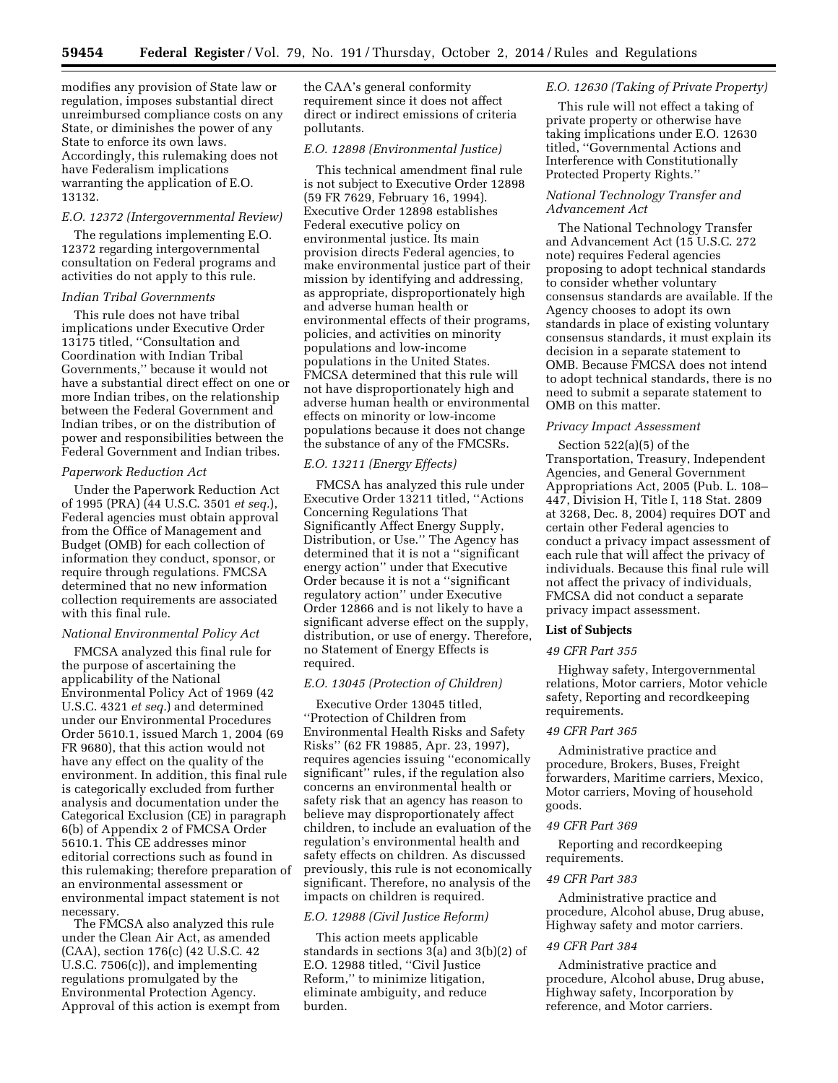modifies any provision of State law or regulation, imposes substantial direct unreimbursed compliance costs on any State, or diminishes the power of any State to enforce its own laws. Accordingly, this rulemaking does not have Federalism implications warranting the application of E.O. 13132.

## *E.O. 12372 (Intergovernmental Review)*

The regulations implementing E.O. 12372 regarding intergovernmental consultation on Federal programs and activities do not apply to this rule.

### *Indian Tribal Governments*

This rule does not have tribal implications under Executive Order 13175 titled, ''Consultation and Coordination with Indian Tribal Governments,'' because it would not have a substantial direct effect on one or more Indian tribes, on the relationship between the Federal Government and Indian tribes, or on the distribution of power and responsibilities between the Federal Government and Indian tribes.

## *Paperwork Reduction Act*

Under the Paperwork Reduction Act of 1995 (PRA) (44 U.S.C. 3501 *et seq.*), Federal agencies must obtain approval from the Office of Management and Budget (OMB) for each collection of information they conduct, sponsor, or require through regulations. FMCSA determined that no new information collection requirements are associated with this final rule.

#### *National Environmental Policy Act*

FMCSA analyzed this final rule for the purpose of ascertaining the applicability of the National Environmental Policy Act of 1969 (42 U.S.C. 4321 *et seq.*) and determined under our Environmental Procedures Order 5610.1, issued March 1, 2004 (69 FR 9680), that this action would not have any effect on the quality of the environment. In addition, this final rule is categorically excluded from further analysis and documentation under the Categorical Exclusion (CE) in paragraph 6(b) of Appendix 2 of FMCSA Order 5610.1. This CE addresses minor editorial corrections such as found in this rulemaking; therefore preparation of an environmental assessment or environmental impact statement is not necessary.

The FMCSA also analyzed this rule under the Clean Air Act, as amended (CAA), section 176(c) (42 U.S.C. 42 U.S.C. 7506(c)), and implementing regulations promulgated by the Environmental Protection Agency. Approval of this action is exempt from the CAA's general conformity requirement since it does not affect direct or indirect emissions of criteria pollutants.

# *E.O. 12898 (Environmental Justice)*

This technical amendment final rule is not subject to Executive Order 12898 (59 FR 7629, February 16, 1994). Executive Order 12898 establishes Federal executive policy on environmental justice. Its main provision directs Federal agencies, to make environmental justice part of their mission by identifying and addressing, as appropriate, disproportionately high and adverse human health or environmental effects of their programs, policies, and activities on minority populations and low-income populations in the United States. FMCSA determined that this rule will not have disproportionately high and adverse human health or environmental effects on minority or low-income populations because it does not change the substance of any of the FMCSRs.

## *E.O. 13211 (Energy Effects)*

FMCSA has analyzed this rule under Executive Order 13211 titled, ''Actions Concerning Regulations That Significantly Affect Energy Supply, Distribution, or Use.'' The Agency has determined that it is not a ''significant energy action'' under that Executive Order because it is not a ''significant regulatory action'' under Executive Order 12866 and is not likely to have a significant adverse effect on the supply, distribution, or use of energy. Therefore, no Statement of Energy Effects is required.

## *E.O. 13045 (Protection of Children)*

Executive Order 13045 titled, ''Protection of Children from Environmental Health Risks and Safety Risks'' (62 FR 19885, Apr. 23, 1997), requires agencies issuing ''economically significant'' rules, if the regulation also concerns an environmental health or safety risk that an agency has reason to believe may disproportionately affect children, to include an evaluation of the regulation's environmental health and safety effects on children. As discussed previously, this rule is not economically significant. Therefore, no analysis of the impacts on children is required.

## *E.O. 12988 (Civil Justice Reform)*

This action meets applicable standards in sections 3(a) and 3(b)(2) of E.O. 12988 titled, ''Civil Justice Reform,'' to minimize litigation, eliminate ambiguity, and reduce burden.

## *E.O. 12630 (Taking of Private Property)*

This rule will not effect a taking of private property or otherwise have taking implications under E.O. 12630 titled, ''Governmental Actions and Interference with Constitutionally Protected Property Rights.''

## *National Technology Transfer and Advancement Act*

The National Technology Transfer and Advancement Act (15 U.S.C. 272 note) requires Federal agencies proposing to adopt technical standards to consider whether voluntary consensus standards are available. If the Agency chooses to adopt its own standards in place of existing voluntary consensus standards, it must explain its decision in a separate statement to OMB. Because FMCSA does not intend to adopt technical standards, there is no need to submit a separate statement to OMB on this matter.

### *Privacy Impact Assessment*

Section 522(a)(5) of the Transportation, Treasury, Independent Agencies, and General Government Appropriations Act, 2005 (Pub. L. 108– 447, Division H, Title I, 118 Stat. 2809 at 3268, Dec. 8, 2004) requires DOT and certain other Federal agencies to conduct a privacy impact assessment of each rule that will affect the privacy of individuals. Because this final rule will not affect the privacy of individuals, FMCSA did not conduct a separate privacy impact assessment.

### **List of Subjects**

#### *49 CFR Part 355*

Highway safety, Intergovernmental relations, Motor carriers, Motor vehicle safety, Reporting and recordkeeping requirements.

#### *49 CFR Part 365*

Administrative practice and procedure, Brokers, Buses, Freight forwarders, Maritime carriers, Mexico, Motor carriers, Moving of household goods.

### *49 CFR Part 369*

Reporting and recordkeeping requirements.

## *49 CFR Part 383*

Administrative practice and procedure, Alcohol abuse, Drug abuse, Highway safety and motor carriers.

## *49 CFR Part 384*

Administrative practice and procedure, Alcohol abuse, Drug abuse, Highway safety, Incorporation by reference, and Motor carriers.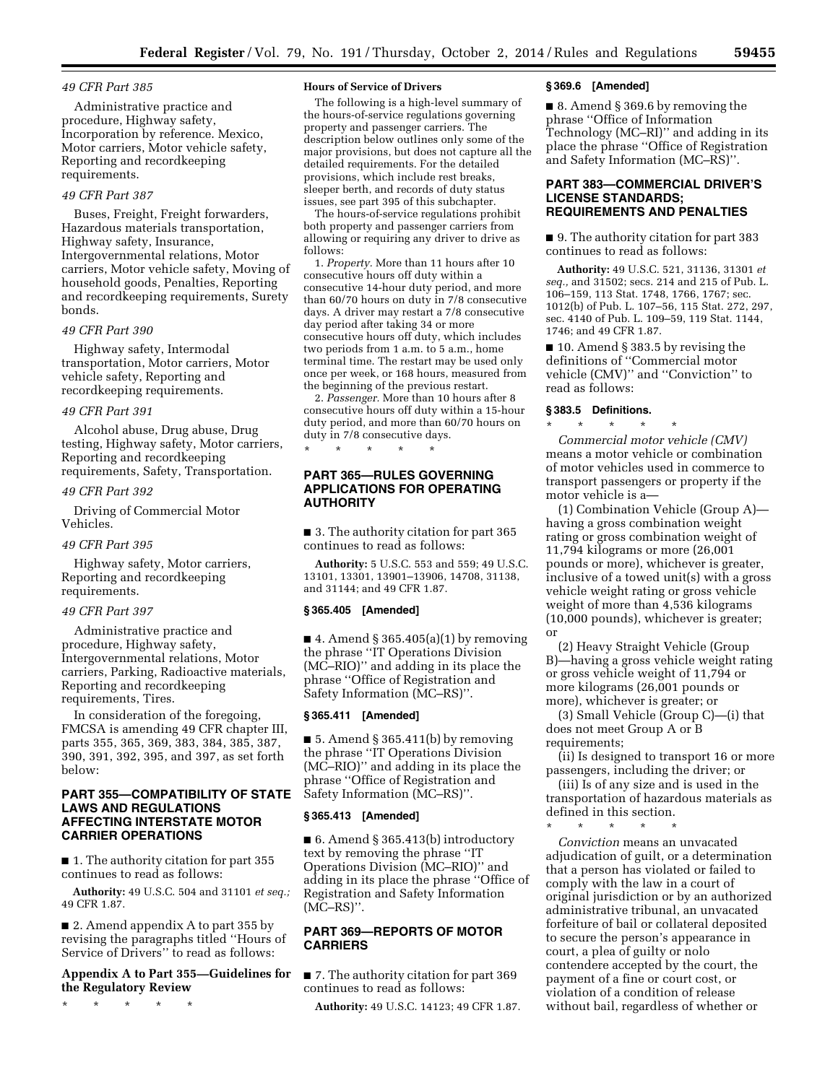## *49 CFR Part 385*

Administrative practice and procedure, Highway safety, Incorporation by reference. Mexico, Motor carriers, Motor vehicle safety, Reporting and recordkeeping requirements.

# *49 CFR Part 387*

Buses, Freight, Freight forwarders, Hazardous materials transportation, Highway safety, Insurance, Intergovernmental relations, Motor carriers, Motor vehicle safety, Moving of household goods, Penalties, Reporting and recordkeeping requirements, Surety bonds.

## *49 CFR Part 390*

Highway safety, Intermodal transportation, Motor carriers, Motor vehicle safety, Reporting and recordkeeping requirements.

## *49 CFR Part 391*

Alcohol abuse, Drug abuse, Drug testing, Highway safety, Motor carriers, Reporting and recordkeeping requirements, Safety, Transportation.

#### *49 CFR Part 392*

Driving of Commercial Motor Vehicles.

#### *49 CFR Part 395*

Highway safety, Motor carriers, Reporting and recordkeeping requirements.

#### *49 CFR Part 397*

Administrative practice and procedure, Highway safety, Intergovernmental relations, Motor carriers, Parking, Radioactive materials, Reporting and recordkeeping requirements, Tires.

In consideration of the foregoing, FMCSA is amending 49 CFR chapter III, parts 355, 365, 369, 383, 384, 385, 387, 390, 391, 392, 395, and 397, as set forth below:

## **PART 355—COMPATIBILITY OF STATE LAWS AND REGULATIONS AFFECTING INTERSTATE MOTOR CARRIER OPERATIONS**

■ 1. The authority citation for part 355 continues to read as follows:

**Authority:** 49 U.S.C. 504 and 31101 *et seq.;*  49 CFR 1.87.

■ 2. Amend appendix A to part 355 by revising the paragraphs titled ''Hours of Service of Drivers'' to read as follows:

# **Appendix A to Part 355—Guidelines for the Regulatory Review**

\* \* \* \* \*

#### **Hours of Service of Drivers**

The following is a high-level summary of the hours-of-service regulations governing property and passenger carriers. The description below outlines only some of the major provisions, but does not capture all the detailed requirements. For the detailed provisions, which include rest breaks, sleeper berth, and records of duty status issues, see part 395 of this subchapter.

The hours-of-service regulations prohibit both property and passenger carriers from allowing or requiring any driver to drive as follows:

1. *Property.* More than 11 hours after 10 consecutive hours off duty within a consecutive 14-hour duty period, and more than 60/70 hours on duty in 7/8 consecutive days. A driver may restart a 7/8 consecutive day period after taking 34 or more consecutive hours off duty, which includes two periods from 1 a.m. to 5 a.m., home terminal time. The restart may be used only once per week, or 168 hours, measured from the beginning of the previous restart.

2. *Passenger.* More than 10 hours after 8 consecutive hours off duty within a 15-hour duty period, and more than 60/70 hours on duty in 7/8 consecutive days.

**PART 365—RULES GOVERNING APPLICATIONS FOR OPERATING AUTHORITY** 

\* \* \* \* \*

■ 3. The authority citation for part 365 continues to read as follows:

**Authority:** 5 U.S.C. 553 and 559; 49 U.S.C. 13101, 13301, 13901–13906, 14708, 31138, and 31144; and 49 CFR 1.87.

## **§ 365.405 [Amended]**

 $\blacksquare$  4. Amend § 365.405(a)(1) by removing the phrase ''IT Operations Division (MC–RIO)'' and adding in its place the phrase ''Office of Registration and Safety Information (MC–RS)''.

## **§ 365.411 [Amended]**

 $\blacksquare$  5. Amend § 365.411(b) by removing the phrase ''IT Operations Division (MC–RIO)'' and adding in its place the phrase ''Office of Registration and Safety Information (MC–RS)''.

# **§ 365.413 [Amended]**

■ 6. Amend § 365.413(b) introductory text by removing the phrase ''IT Operations Division (MC–RIO)'' and adding in its place the phrase ''Office of Registration and Safety Information (MC–RS)''.

# **PART 369—REPORTS OF MOTOR CARRIERS**

■ 7. The authority citation for part 369 continues to read as follows:

**Authority:** 49 U.S.C. 14123; 49 CFR 1.87.

#### **§ 369.6 [Amended]**

■ 8. Amend § 369.6 by removing the phrase ''Office of Information Technology (MC–RI)'' and adding in its place the phrase ''Office of Registration and Safety Information (MC–RS)''.

## **PART 383—COMMERCIAL DRIVER'S LICENSE STANDARDS; REQUIREMENTS AND PENALTIES**

■ 9. The authority citation for part 383 continues to read as follows:

**Authority:** 49 U.S.C. 521, 31136, 31301 *et seq.,* and 31502; secs. 214 and 215 of Pub. L. 106–159, 113 Stat. 1748, 1766, 1767; sec. 1012(b) of Pub. L. 107–56, 115 Stat. 272, 297, sec. 4140 of Pub. L. 109–59, 119 Stat. 1144, 1746; and 49 CFR 1.87.

■ 10. Amend § 383.5 by revising the definitions of ''Commercial motor vehicle (CMV)'' and ''Conviction'' to read as follows:

#### **§ 383.5 Definitions.**

\* \* \* \* \* *Commercial motor vehicle (CMV)*  means a motor vehicle or combination of motor vehicles used in commerce to transport passengers or property if the motor vehicle is a—

(1) Combination Vehicle (Group A) having a gross combination weight rating or gross combination weight of 11,794 kilograms or more (26,001 pounds or more), whichever is greater, inclusive of a towed unit(s) with a gross vehicle weight rating or gross vehicle weight of more than 4,536 kilograms (10,000 pounds), whichever is greater; or

(2) Heavy Straight Vehicle (Group B)—having a gross vehicle weight rating or gross vehicle weight of 11,794 or more kilograms (26,001 pounds or more), whichever is greater; or

(3) Small Vehicle (Group C)—(i) that does not meet Group A or B requirements;

(ii) Is designed to transport 16 or more passengers, including the driver; or

(iii) Is of any size and is used in the transportation of hazardous materials as defined in this section.

\* \* \* \* \*

*Conviction* means an unvacated adjudication of guilt, or a determination that a person has violated or failed to comply with the law in a court of original jurisdiction or by an authorized administrative tribunal, an unvacated forfeiture of bail or collateral deposited to secure the person's appearance in court, a plea of guilty or nolo contendere accepted by the court, the payment of a fine or court cost, or violation of a condition of release without bail, regardless of whether or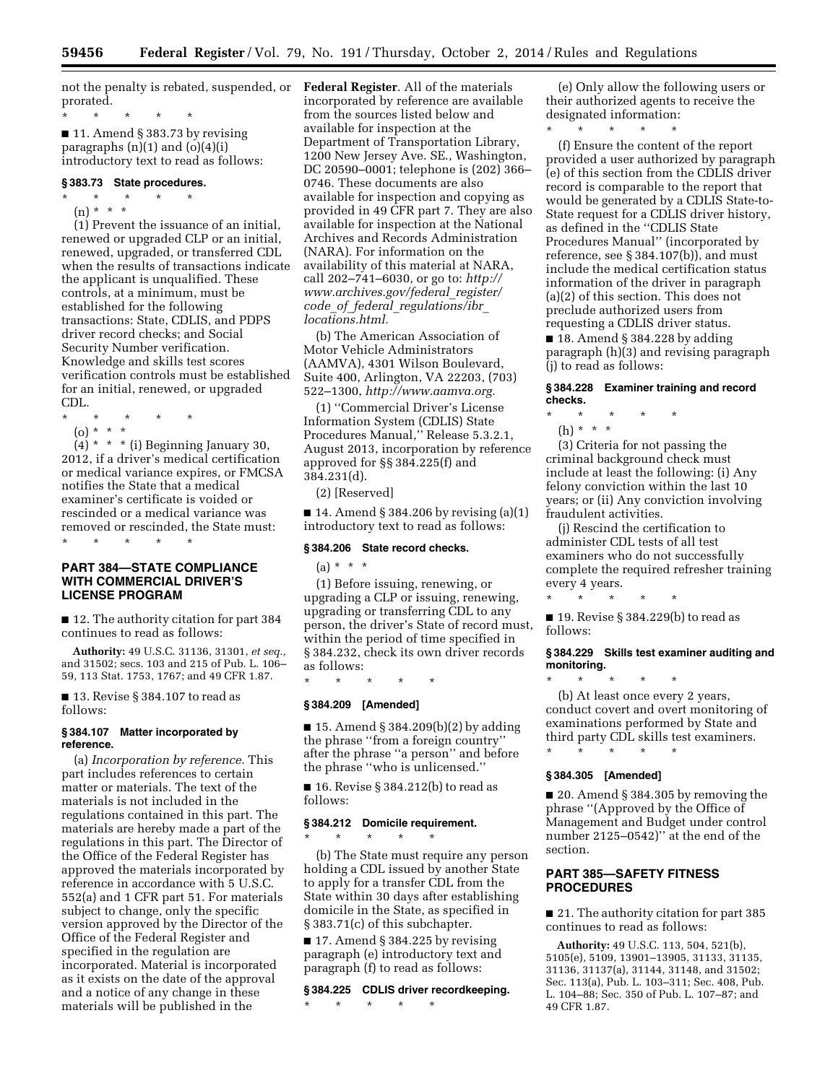not the penalty is rebated, suspended, or **Federal Register**. All of the materials prorated.

\* \* \* \* \*

 $\blacksquare$  11. Amend § 383.73 by revising paragraphs  $(n)(1)$  and  $(o)(4)(i)$ introductory text to read as follows:

#### **§ 383.73 State procedures.**

\* \* \* \* \*

(n) \* \* \* \*

(1) Prevent the issuance of an initial, renewed or upgraded CLP or an initial, renewed, upgraded, or transferred CDL when the results of transactions indicate the applicant is unqualified. These controls, at a minimum, must be established for the following transactions: State, CDLIS, and PDPS driver record checks; and Social Security Number verification. Knowledge and skills test scores verification controls must be established for an initial, renewed, or upgraded CDL.

- \* \* \* \* \*
- (o) \* \* \*

 $(4) * * *$  (i) Beginning January 30, 2012, if a driver's medical certification or medical variance expires, or FMCSA notifies the State that a medical examiner's certificate is voided or rescinded or a medical variance was removed or rescinded, the State must: \* \* \* \* \*

# **PART 384—STATE COMPLIANCE WITH COMMERCIAL DRIVER'S LICENSE PROGRAM**

■ 12. The authority citation for part 384 continues to read as follows:

**Authority:** 49 U.S.C. 31136, 31301, *et seq.,*  and 31502; secs. 103 and 215 of Pub. L. 106– 59, 113 Stat. 1753, 1767; and 49 CFR 1.87.

■ 13. Revise § 384.107 to read as follows:

## **§ 384.107 Matter incorporated by reference.**

(a) *Incorporation by reference.* This part includes references to certain matter or materials. The text of the materials is not included in the regulations contained in this part. The materials are hereby made a part of the regulations in this part. The Director of the Office of the Federal Register has approved the materials incorporated by reference in accordance with 5 U.S.C. 552(a) and 1 CFR part 51. For materials subject to change, only the specific version approved by the Director of the Office of the Federal Register and specified in the regulation are incorporated. Material is incorporated as it exists on the date of the approval and a notice of any change in these materials will be published in the

incorporated by reference are available from the sources listed below and available for inspection at the Department of Transportation Library, 1200 New Jersey Ave. SE., Washington, DC 20590–0001; telephone is (202) 366– 0746. These documents are also available for inspection and copying as provided in 49 CFR part 7. They are also available for inspection at the National Archives and Records Administration (NARA). For information on the availability of this material at NARA, call 202–741–6030, or go to: *[http://](http://www.archives.gov/federal_register/code_of_federal_regulations/ibr_locations.html) [www.archives.gov/federal](http://www.archives.gov/federal_register/code_of_federal_regulations/ibr_locations.html)*\_*register/ code*\_*of*\_*federal*\_*[regulations/ibr](http://www.archives.gov/federal_register/code_of_federal_regulations/ibr_locations.html)*\_ *[locations.html.](http://www.archives.gov/federal_register/code_of_federal_regulations/ibr_locations.html)* 

(b) The American Association of Motor Vehicle Administrators (AAMVA), 4301 Wilson Boulevard, Suite 400, Arlington, VA 22203, (703) 522–1300, *[http://www.aamva.org.](http://www.aamva.org)* 

(1) ''Commercial Driver's License Information System (CDLIS) State Procedures Manual,'' Release 5.3.2.1, August 2013, incorporation by reference approved for §§ 384.225(f) and 384.231(d).

(2) [Reserved]

 $\blacksquare$  14. Amend § 384.206 by revising (a)(1) introductory text to read as follows:

### **§ 384.206 State record checks.**

 $(a) * * * *$ 

(1) Before issuing, renewing, or upgrading a CLP or issuing, renewing, upgrading or transferring CDL to any person, the driver's State of record must, within the period of time specified in § 384.232, check its own driver records as follows:

\* \* \* \* \* **§ 384.209 [Amended]** 

■ 15. Amend § 384.209(b)(2) by adding the phrase ''from a foreign country'' after the phrase ''a person'' and before the phrase ''who is unlicensed.''

■ 16. Revise § 384.212(b) to read as follows:

### **§ 384.212 Domicile requirement.**

\* \* \* \* \* (b) The State must require any person

holding a CDL issued by another State to apply for a transfer CDL from the State within 30 days after establishing domicile in the State, as specified in § 383.71(c) of this subchapter.

 $\blacksquare$  17. Amend § 384.225 by revising paragraph (e) introductory text and paragraph (f) to read as follows:

# **§ 384.225 CDLIS driver recordkeeping.**

\* \* \* \* \*

(e) Only allow the following users or their authorized agents to receive the designated information:

\* \* \* \* \*

(f) Ensure the content of the report provided a user authorized by paragraph (e) of this section from the CDLIS driver record is comparable to the report that would be generated by a CDLIS State-to-State request for a CDLIS driver history, as defined in the ''CDLIS State Procedures Manual'' (incorporated by reference, see § 384.107(b)), and must include the medical certification status information of the driver in paragraph (a)(2) of this section. This does not preclude authorized users from requesting a CDLIS driver status.  $\blacksquare$  18. Amend § 384.228 by adding

paragraph (h)(3) and revising paragraph (j) to read as follows:

## **§ 384.228 Examiner training and record checks.**

- \* \* \* \* \*
	- (h) \* \* \*

(3) Criteria for not passing the criminal background check must include at least the following: (i) Any felony conviction within the last 10 years; or (ii) Any conviction involving fraudulent activities.

(j) Rescind the certification to administer CDL tests of all test examiners who do not successfully complete the required refresher training every 4 years.

■ 19. Revise § 384.229(b) to read as follows:

\* \* \* \* \*

## **§ 384.229 Skills test examiner auditing and monitoring.**

\* \* \* \* \* (b) At least once every 2 years, conduct covert and overt monitoring of examinations performed by State and third party CDL skills test examiners.

\* \* \* \* \*

# **§ 384.305 [Amended]**

■ 20. Amend § 384.305 by removing the phrase ''(Approved by the Office of Management and Budget under control number 2125–0542)'' at the end of the section.

# **PART 385—SAFETY FITNESS PROCEDURES**

■ 21. The authority citation for part 385 continues to read as follows:

**Authority:** 49 U.S.C. 113, 504, 521(b), 5105(e), 5109, 13901–13905, 31133, 31135, 31136, 31137(a), 31144, 31148, and 31502; Sec. 113(a), Pub. L. 103–311; Sec. 408, Pub. L. 104–88; Sec. 350 of Pub. L. 107–87; and 49 CFR 1.87.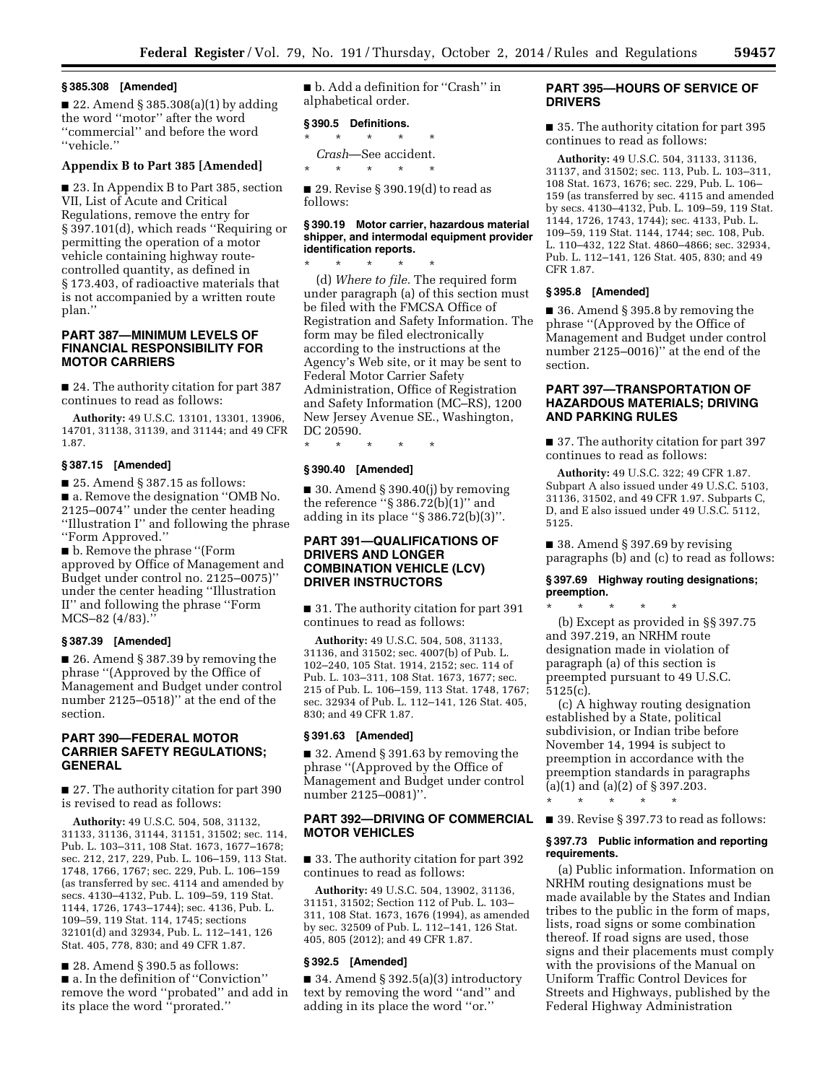### **§ 385.308 [Amended]**

 $\blacksquare$  22. Amend § 385.308(a)(1) by adding the word ''motor'' after the word ''commercial'' and before the word ''vehicle.''

# **Appendix B to Part 385 [Amended]**

■ 23. In Appendix B to Part 385, section VII, List of Acute and Critical Regulations, remove the entry for § 397.101(d), which reads "Requiring or permitting the operation of a motor vehicle containing highway routecontrolled quantity, as defined in § 173.403, of radioactive materials that is not accompanied by a written route plan.''

## **PART 387—MINIMUM LEVELS OF FINANCIAL RESPONSIBILITY FOR MOTOR CARRIERS**

■ 24. The authority citation for part 387 continues to read as follows:

**Authority:** 49 U.S.C. 13101, 13301, 13906, 14701, 31138, 31139, and 31144; and 49 CFR 1.87.

## **§ 387.15 [Amended]**

■ 25. Amend § 387.15 as follows: ■ a. Remove the designation "OMB No. 2125–0074'' under the center heading ''Illustration I'' and following the phrase ''Form Approved.''

■ b. Remove the phrase "(Form approved by Office of Management and Budget under control no. 2125–0075)'' under the center heading ''Illustration II'' and following the phrase ''Form MCS–82 (4/83).''

#### **§ 387.39 [Amended]**

■ 26. Amend § 387.39 by removing the phrase ''(Approved by the Office of Management and Budget under control number 2125–0518)'' at the end of the section.

# **PART 390—FEDERAL MOTOR CARRIER SAFETY REGULATIONS; GENERAL**

■ 27. The authority citation for part 390 is revised to read as follows:

**Authority:** 49 U.S.C. 504, 508, 31132, 31133, 31136, 31144, 31151, 31502; sec. 114, Pub. L. 103–311, 108 Stat. 1673, 1677–1678; sec. 212, 217, 229, Pub. L. 106–159, 113 Stat. 1748, 1766, 1767; sec. 229, Pub. L. 106–159 (as transferred by sec. 4114 and amended by secs. 4130–4132, Pub. L. 109–59, 119 Stat. 1144, 1726, 1743–1744); sec. 4136, Pub. L. 109–59, 119 Stat. 114, 1745; sections 32101(d) and 32934, Pub. L. 112–141, 126 Stat. 405, 778, 830; and 49 CFR 1.87.

■ 28. Amend § 390.5 as follows: ■ a. In the definition of "Conviction" remove the word ''probated'' and add in its place the word ''prorated.''

■ b. Add a definition for "Crash" in alphabetical order.

## **§ 390.5 Definitions.**

\* \* \* \* \* *Crash*—See accident.

\* \* \* \* \*  $\blacksquare$  29. Revise § 390.19(d) to read as

follows:

## **§ 390.19 Motor carrier, hazardous material shipper, and intermodal equipment provider identification reports.**

\* \* \* \* \* (d) *Where to file.* The required form under paragraph (a) of this section must be filed with the FMCSA Office of Registration and Safety Information. The form may be filed electronically according to the instructions at the Agency's Web site, or it may be sent to Federal Motor Carrier Safety Administration, Office of Registration and Safety Information (MC–RS), 1200 New Jersey Avenue SE., Washington, DC 20590.

\* \* \* \* \*

# **§ 390.40 [Amended]**

 $\blacksquare$  30. Amend § 390.40(j) by removing the reference " $\S 386.72(b)(1)$ " and adding in its place ''§ 386.72(b)(3)''.

# **PART 391—QUALIFICATIONS OF DRIVERS AND LONGER COMBINATION VEHICLE (LCV) DRIVER INSTRUCTORS**

■ 31. The authority citation for part 391 continues to read as follows:

**Authority:** 49 U.S.C. 504, 508, 31133, 31136, and 31502; sec. 4007(b) of Pub. L. 102–240, 105 Stat. 1914, 2152; sec. 114 of Pub. L. 103–311, 108 Stat. 1673, 1677; sec. 215 of Pub. L. 106–159, 113 Stat. 1748, 1767; sec. 32934 of Pub. L. 112–141, 126 Stat. 405, 830; and 49 CFR 1.87.

## **§ 391.63 [Amended]**

■ 32. Amend § 391.63 by removing the phrase ''(Approved by the Office of Management and Budget under control number 2125–0081)''.

## **PART 392—DRIVING OF COMMERCIAL MOTOR VEHICLES**

■ 33. The authority citation for part 392 continues to read as follows:

**Authority:** 49 U.S.C. 504, 13902, 31136, 31151, 31502; Section 112 of Pub. L. 103– 311, 108 Stat. 1673, 1676 (1994), as amended by sec. 32509 of Pub. L. 112–141, 126 Stat. 405, 805 (2012); and 49 CFR 1.87.

## **§ 392.5 [Amended]**

■ 34. Amend § 392.5(a)(3) introductory text by removing the word ''and'' and adding in its place the word ''or.''

# **PART 395—HOURS OF SERVICE OF DRIVERS**

■ 35. The authority citation for part 395 continues to read as follows:

**Authority:** 49 U.S.C. 504, 31133, 31136, 31137, and 31502; sec. 113, Pub. L. 103–311, 108 Stat. 1673, 1676; sec. 229, Pub. L. 106– 159 (as transferred by sec. 4115 and amended by secs. 4130–4132, Pub. L. 109–59, 119 Stat. 1144, 1726, 1743, 1744); sec. 4133, Pub. L. 109–59, 119 Stat. 1144, 1744; sec. 108, Pub. L. 110–432, 122 Stat. 4860–4866; sec. 32934, Pub. L. 112–141, 126 Stat. 405, 830; and 49 CFR 1.87.

## **§ 395.8 [Amended]**

■ 36. Amend § 395.8 by removing the phrase ''(Approved by the Office of Management and Budget under control number 2125–0016)'' at the end of the section.

# **PART 397—TRANSPORTATION OF HAZARDOUS MATERIALS; DRIVING AND PARKING RULES**

■ 37. The authority citation for part 397 continues to read as follows:

**Authority:** 49 U.S.C. 322; 49 CFR 1.87. Subpart A also issued under 49 U.S.C. 5103, 31136, 31502, and 49 CFR 1.97. Subparts C, D, and E also issued under 49 U.S.C. 5112, 5125.

■ 38. Amend § 397.69 by revising paragraphs (b) and (c) to read as follows:

#### **§ 397.69 Highway routing designations; preemption.**

\* \* \* \* \* (b) Except as provided in §§ 397.75 and 397.219, an NRHM route designation made in violation of paragraph (a) of this section is preempted pursuant to 49 U.S.C. 5125(c).

(c) A highway routing designation established by a State, political subdivision, or Indian tribe before November 14, 1994 is subject to preemption in accordance with the preemption standards in paragraphs (a)(1) and (a)(2) of § 397.203.

■ 39. Revise § 397.73 to read as follows:

\* \* \* \* \*

## **§ 397.73 Public information and reporting requirements.**

(a) Public information. Information on NRHM routing designations must be made available by the States and Indian tribes to the public in the form of maps, lists, road signs or some combination thereof. If road signs are used, those signs and their placements must comply with the provisions of the Manual on Uniform Traffic Control Devices for Streets and Highways, published by the Federal Highway Administration